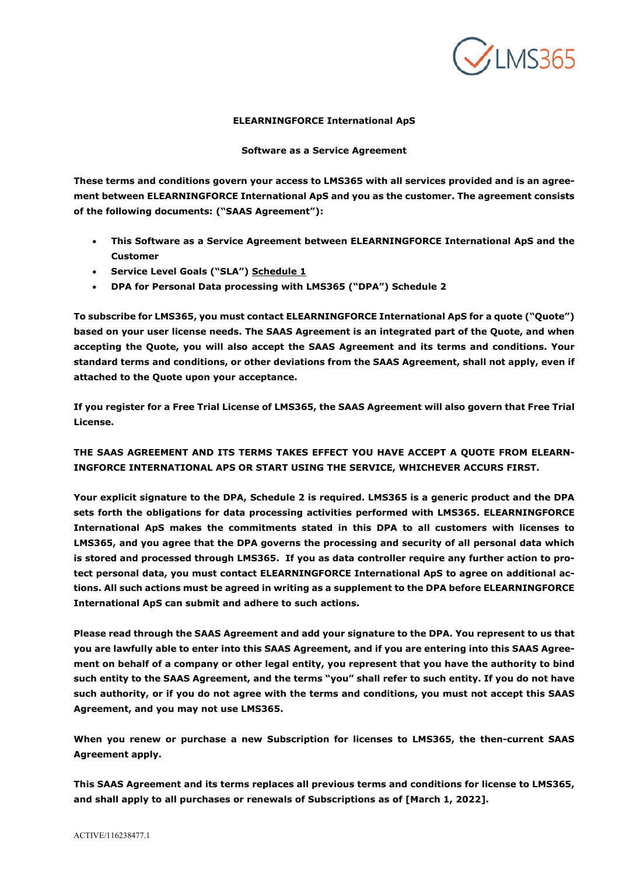

## **ELEARNINGFORCE International ApS**

**Software as a Service Agreement** 

**These terms and conditions govern your access to LMS365 with all services provided and is an agreement between ELEARNINGFORCE International ApS and you as the customer. The agreement consists of the following documents: ("SAAS Agreement"):** 

- **This Software as a Service Agreement between ELEARNINGFORCE International ApS and the Customer**
- **Service Level Goals ("SLA") Schedule 1**
- **DPA for Personal Data processing with LMS365 ("DPA") Schedule 2**

**To subscribe for LMS365, you must contact ELEARNINGFORCE International ApS for a quote ("Quote") based on your user license needs. The SAAS Agreement is an integrated part of the Quote, and when accepting the Quote, you will also accept the SAAS Agreement and its terms and conditions. Your standard terms and conditions, or other deviations from the SAAS Agreement, shall not apply, even if attached to the Quote upon your acceptance.** 

**If you register for a Free Trial License of LMS365, the SAAS Agreement will also govern that Free Trial License.** 

**THE SAAS AGREEMENT AND ITS TERMS TAKES EFFECT YOU HAVE ACCEPT A QUOTE FROM ELEARN-INGFORCE INTERNATIONAL APS OR START USING THE SERVICE, WHICHEVER ACCURS FIRST.** 

**Your explicit signature to the DPA, Schedule 2 is required. LMS365 is a generic product and the DPA sets forth the obligations for data processing activities performed with LMS365. ELEARNINGFORCE International ApS makes the commitments stated in this DPA to all customers with licenses to LMS365, and you agree that the DPA governs the processing and security of all personal data which is stored and processed through LMS365. If you as data controller require any further action to protect personal data, you must contact ELEARNINGFORCE International ApS to agree on additional actions. All such actions must be agreed in writing as a supplement to the DPA before ELEARNINGFORCE International ApS can submit and adhere to such actions.**

**Please read through the SAAS Agreement and add your signature to the DPA. You represent to us that you are lawfully able to enter into this SAAS Agreement, and if you are entering into this SAAS Agreement on behalf of a company or other legal entity, you represent that you have the authority to bind such entity to the SAAS Agreement, and the terms "you" shall refer to such entity. If you do not have such authority, or if you do not agree with the terms and conditions, you must not accept this SAAS Agreement, and you may not use LMS365.**

**When you renew or purchase a new Subscription for licenses to LMS365, the then-current SAAS Agreement apply.**

**This SAAS Agreement and its terms replaces all previous terms and conditions for license to LMS365, and shall apply to all purchases or renewals of Subscriptions as of [March 1, 2022].**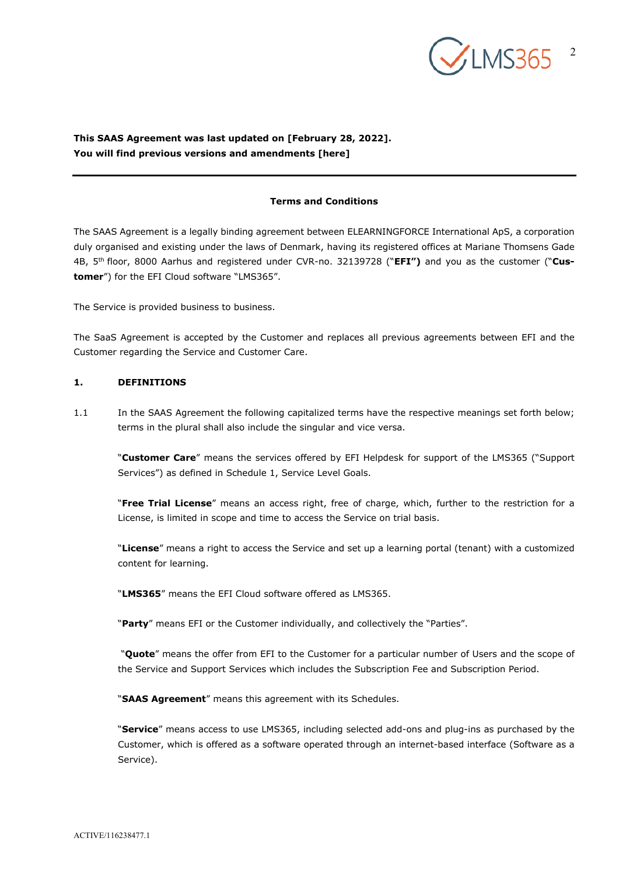

# **This SAAS Agreement was last updated on [February 28, 2022]. You will find previous versions and amendments [here]**

### **Terms and Conditions**

The SAAS Agreement is a legally binding agreement between ELEARNINGFORCE International ApS, a corporation duly organised and existing under the laws of Denmark, having its registered offices at Mariane Thomsens Gade 4B, 5th floor, 8000 Aarhus and registered under CVR-no. 32139728 ("**EFI")** and you as the customer ("**Customer**") for the EFI Cloud software "LMS365".

The Service is provided business to business.

The SaaS Agreement is accepted by the Customer and replaces all previous agreements between EFI and the Customer regarding the Service and Customer Care.

### **1. DEFINITIONS**

1.1 In the SAAS Agreement the following capitalized terms have the respective meanings set forth below; terms in the plural shall also include the singular and vice versa.

"**Customer Care**" means the services offered by EFI Helpdesk for support of the LMS365 ("Support Services") as defined in Schedule 1, Service Level Goals.

"**Free Trial License**" means an access right, free of charge, which, further to the restriction for a License, is limited in scope and time to access the Service on trial basis.

"**License**" means a right to access the Service and set up a learning portal (tenant) with a customized content for learning.

"**LMS365**" means the EFI Cloud software offered as LMS365.

"**Party**" means EFI or the Customer individually, and collectively the "Parties".

 "**Quote**" means the offer from EFI to the Customer for a particular number of Users and the scope of the Service and Support Services which includes the Subscription Fee and Subscription Period.

"**SAAS Agreement**" means this agreement with its Schedules.

"**Service**" means access to use LMS365, including selected add-ons and plug-ins as purchased by the Customer, which is offered as a software operated through an internet-based interface (Software as a Service).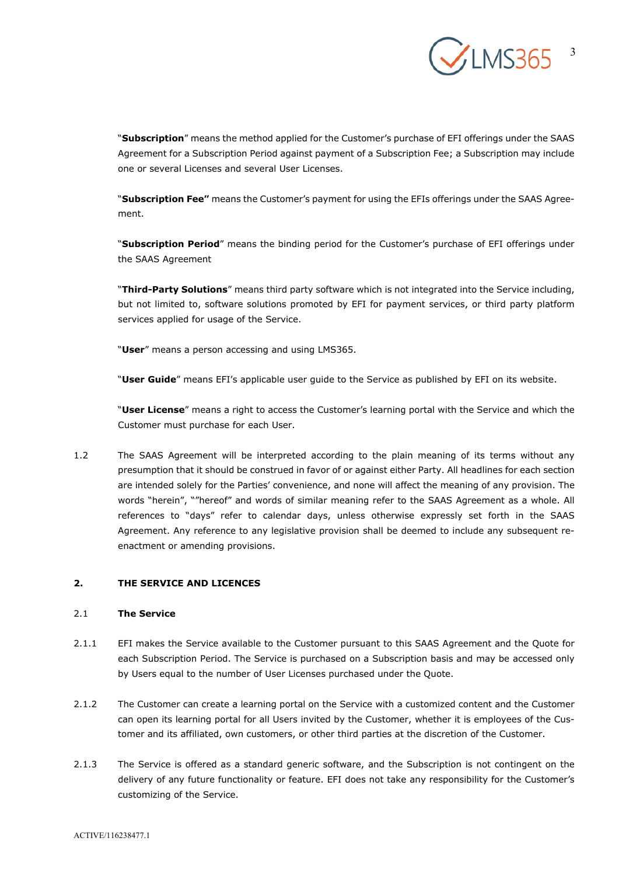

"**Subscription**" means the method applied for the Customer's purchase of EFI offerings under the SAAS Agreement for a Subscription Period against payment of a Subscription Fee; a Subscription may include one or several Licenses and several User Licenses.

"**Subscription Fee"** means the Customer's payment for using the EFIs offerings under the SAAS Agreement.

"**Subscription Period**" means the binding period for the Customer's purchase of EFI offerings under the SAAS Agreement

"**Third-Party Solutions**" means third party software which is not integrated into the Service including, but not limited to, software solutions promoted by EFI for payment services, or third party platform services applied for usage of the Service.

"**User**" means a person accessing and using LMS365.

"**User Guide**" means EFI's applicable user guide to the Service as published by EFI on its website.

"**User License**" means a right to access the Customer's learning portal with the Service and which the Customer must purchase for each User.

1.2 The SAAS Agreement will be interpreted according to the plain meaning of its terms without any presumption that it should be construed in favor of or against either Party. All headlines for each section are intended solely for the Parties' convenience, and none will affect the meaning of any provision. The words "herein", ""hereof" and words of similar meaning refer to the SAAS Agreement as a whole. All references to "days" refer to calendar days, unless otherwise expressly set forth in the SAAS Agreement. Any reference to any legislative provision shall be deemed to include any subsequent reenactment or amending provisions.

## **2. THE SERVICE AND LICENCES**

## 2.1 **The Service**

- 2.1.1 EFI makes the Service available to the Customer pursuant to this SAAS Agreement and the Quote for each Subscription Period. The Service is purchased on a Subscription basis and may be accessed only by Users equal to the number of User Licenses purchased under the Quote.
- 2.1.2 The Customer can create a learning portal on the Service with a customized content and the Customer can open its learning portal for all Users invited by the Customer, whether it is employees of the Customer and its affiliated, own customers, or other third parties at the discretion of the Customer.
- 2.1.3 The Service is offered as a standard generic software, and the Subscription is not contingent on the delivery of any future functionality or feature. EFI does not take any responsibility for the Customer's customizing of the Service.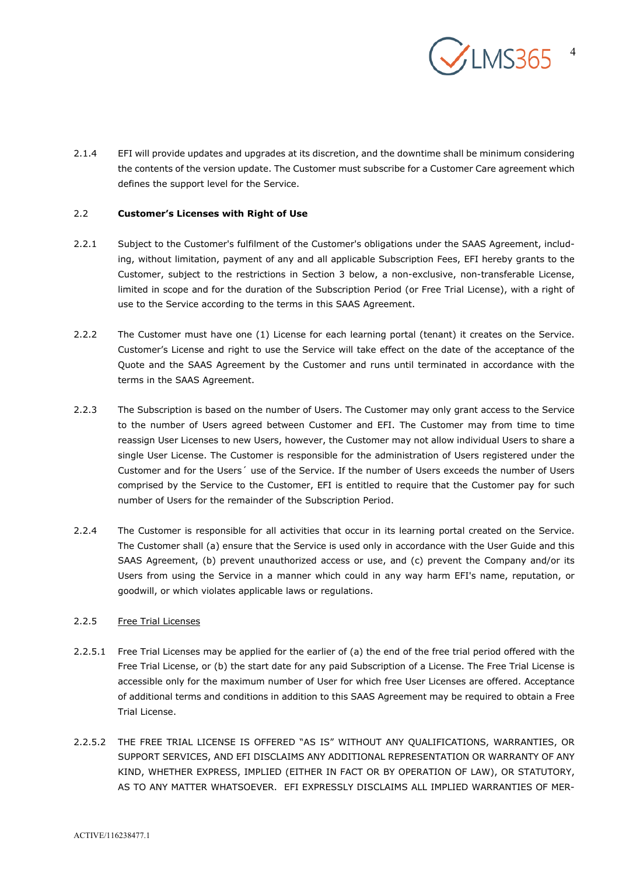

2.1.4 EFI will provide updates and upgrades at its discretion, and the downtime shall be minimum considering the contents of the version update. The Customer must subscribe for a Customer Care agreement which defines the support level for the Service.

## 2.2 **Customer's Licenses with Right of Use**

- 2.2.1 Subject to the Customer's fulfilment of the Customer's obligations under the SAAS Agreement, including, without limitation, payment of any and all applicable Subscription Fees, EFI hereby grants to the Customer, subject to the restrictions in Section [3](#page-4-0) below, a non-exclusive, non-transferable License, limited in scope and for the duration of the Subscription Period (or Free Trial License), with a right of use to the Service according to the terms in this SAAS Agreement.
- 2.2.2 The Customer must have one (1) License for each learning portal (tenant) it creates on the Service. Customer's License and right to use the Service will take effect on the date of the acceptance of the Quote and the SAAS Agreement by the Customer and runs until terminated in accordance with the terms in the SAAS Agreement.
- 2.2.3 The Subscription is based on the number of Users. The Customer may only grant access to the Service to the number of Users agreed between Customer and EFI. The Customer may from time to time reassign User Licenses to new Users, however, the Customer may not allow individual Users to share a single User License. The Customer is responsible for the administration of Users registered under the Customer and for the Users´ use of the Service. If the number of Users exceeds the number of Users comprised by the Service to the Customer, EFI is entitled to require that the Customer pay for such number of Users for the remainder of the Subscription Period.
- 2.2.4 The Customer is responsible for all activities that occur in its learning portal created on the Service. The Customer shall (a) ensure that the Service is used only in accordance with the User Guide and this SAAS Agreement, (b) prevent unauthorized access or use, and (c) prevent the Company and/or its Users from using the Service in a manner which could in any way harm EFI's name, reputation, or goodwill, or which violates applicable laws or regulations.

## 2.2.5 Free Trial Licenses

- 2.2.5.1 Free Trial Licenses may be applied for the earlier of (a) the end of the free trial period offered with the Free Trial License, or (b) the start date for any paid Subscription of a License. The Free Trial License is accessible only for the maximum number of User for which free User Licenses are offered. Acceptance of additional terms and conditions in addition to this SAAS Agreement may be required to obtain a Free Trial License.
- 2.2.5.2 THE FREE TRIAL LICENSE IS OFFERED "AS IS" WITHOUT ANY QUALIFICATIONS, WARRANTIES, OR SUPPORT SERVICES, AND EFI DISCLAIMS ANY ADDITIONAL REPRESENTATION OR WARRANTY OF ANY KIND, WHETHER EXPRESS, IMPLIED (EITHER IN FACT OR BY OPERATION OF LAW), OR STATUTORY, AS TO ANY MATTER WHATSOEVER. EFI EXPRESSLY DISCLAIMS ALL IMPLIED WARRANTIES OF MER-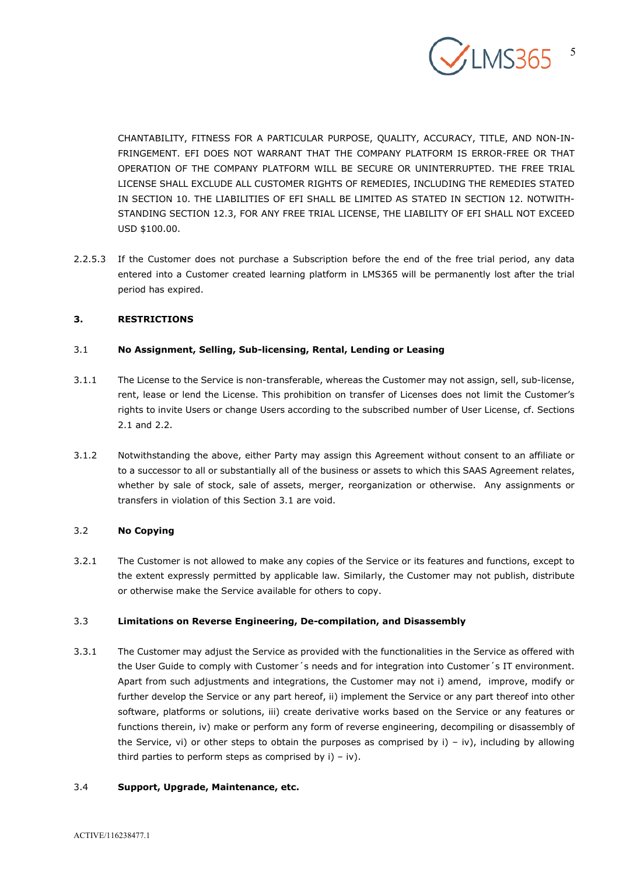

CHANTABILITY, FITNESS FOR A PARTICULAR PURPOSE, QUALITY, ACCURACY, TITLE, AND NON-IN-FRINGEMENT. EFI DOES NOT WARRANT THAT THE COMPANY PLATFORM IS ERROR-FREE OR THAT OPERATION OF THE COMPANY PLATFORM WILL BE SECURE OR UNINTERRUPTED. THE FREE TRIAL LICENSE SHALL EXCLUDE ALL CUSTOMER RIGHTS OF REMEDIES, INCLUDING THE REMEDIES STATED IN SECTION 10. THE LIABILITIES OF EFI SHALL BE LIMITED AS STATED IN SECTION 12. NOTWITH-STANDING SECTION 12.3, FOR ANY FREE TRIAL LICENSE, THE LIABILITY OF EFI SHALL NOT EXCEED USD \$100.00.

2.2.5.3 If the Customer does not purchase a Subscription before the end of the free trial period, any data entered into a Customer created learning platform in LMS365 will be permanently lost after the trial period has expired.

## <span id="page-4-0"></span>**3. RESTRICTIONS**

# 3.1 **No Assignment, Selling, Sub-licensing, Rental, Lending or Leasing**

- 3.1.1 The License to the Service is non-transferable, whereas the Customer may not assign, sell, sub-license, rent, lease or lend the License. This prohibition on transfer of Licenses does not limit the Customer's rights to invite Users or change Users according to the subscribed number of User License, cf. Sections 2.1 and 2.2.
- 3.1.2 Notwithstanding the above, either Party may assign this Agreement without consent to an affiliate or to a successor to all or substantially all of the business or assets to which this SAAS Agreement relates, whether by sale of stock, sale of assets, merger, reorganization or otherwise. Any assignments or transfers in violation of this Section 3.1 are void.

# 3.2 **No Copying**

3.2.1 The Customer is not allowed to make any copies of the Service or its features and functions, except to the extent expressly permitted by applicable law. Similarly, the Customer may not publish, distribute or otherwise make the Service available for others to copy.

## 3.3 **Limitations on Reverse Engineering, De-compilation, and Disassembly**

3.3.1 The Customer may adjust the Service as provided with the functionalities in the Service as offered with the User Guide to comply with Customer´s needs and for integration into Customer´s IT environment. Apart from such adjustments and integrations, the Customer may not i) amend, improve, modify or further develop the Service or any part hereof, ii) implement the Service or any part thereof into other software, platforms or solutions, iii) create derivative works based on the Service or any features or functions therein, iv) make or perform any form of reverse engineering, decompiling or disassembly of the Service, vi) or other steps to obtain the purposes as comprised by  $i$ ) – iv), including by allowing third parties to perform steps as comprised by  $i$ ) –  $iv$ ).

# 3.4 **Support, Upgrade, Maintenance, etc.**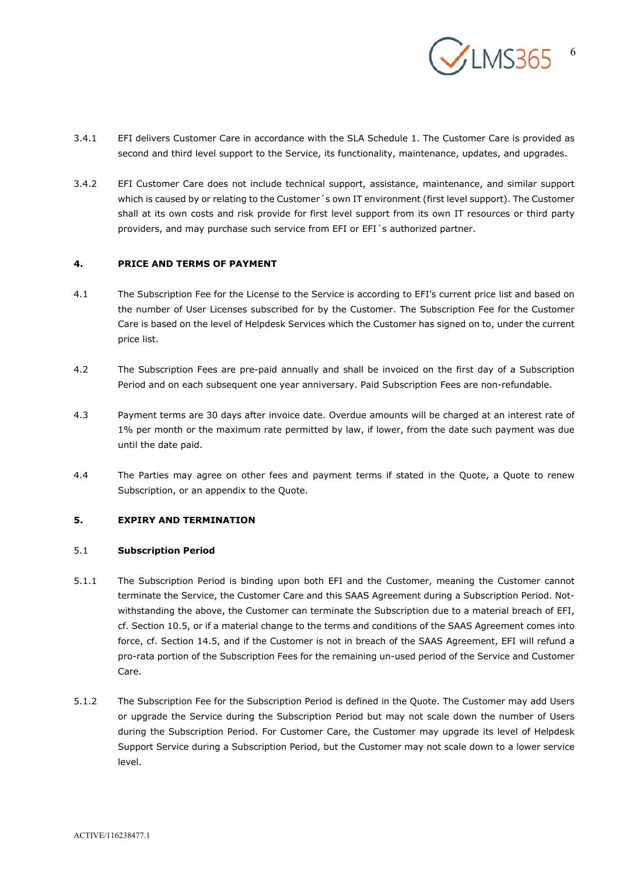

- 3.4.1 EFI delivers Customer Care in accordance with the SLA Schedule 1. The Customer Care is provided as second and third level support to the Service, its functionality, maintenance, updates, and upgrades.
- 3.4.2 EFI Customer Care does not include technical support, assistance, maintenance, and similar support which is caused by or relating to the Customer's own IT environment (first level support). The Customer shall at its own costs and risk provide for first level support from its own IT resources or third party providers, and may purchase such service from EFI or EFI´s authorized partner.

## **4. PRICE AND TERMS OF PAYMENT**

- 4.1 The Subscription Fee for the License to the Service is according to EFI's current price list and based on the number of User Licenses subscribed for by the Customer. The Subscription Fee for the Customer Care is based on the level of Helpdesk Services which the Customer has signed on to, under the current price list.
- 4.2 The Subscription Fees are pre-paid annually and shall be invoiced on the first day of a Subscription Period and on each subsequent one year anniversary. Paid Subscription Fees are non-refundable.
- 4.3 Payment terms are 30 days after invoice date. Overdue amounts will be charged at an interest rate of 1% per month or the maximum rate permitted by law, if lower, from the date such payment was due until the date paid.
- 4.4 The Parties may agree on other fees and payment terms if stated in the Quote, a Quote to renew Subscription, or an appendix to the Quote.

## **5. EXPIRY AND TERMINATION**

### 5.1 **Subscription Period**

- 5.1.1 The Subscription Period is binding upon both EFI and the Customer, meaning the Customer cannot terminate the Service, the Customer Care and this SAAS Agreement during a Subscription Period. Notwithstanding the above, the Customer can terminate the Subscription due to a material breach of EFI, cf. Section 10.5, or if a material change to the terms and conditions of the SAAS Agreement comes into force, cf. Section 14.5, and if the Customer is not in breach of the SAAS Agreement, EFI will refund a pro-rata portion of the Subscription Fees for the remaining un-used period of the Service and Customer Care.
- 5.1.2 The Subscription Fee for the Subscription Period is defined in the Quote. The Customer may add Users or upgrade the Service during the Subscription Period but may not scale down the number of Users during the Subscription Period. For Customer Care, the Customer may upgrade its level of Helpdesk Support Service during a Subscription Period, but the Customer may not scale down to a lower service level.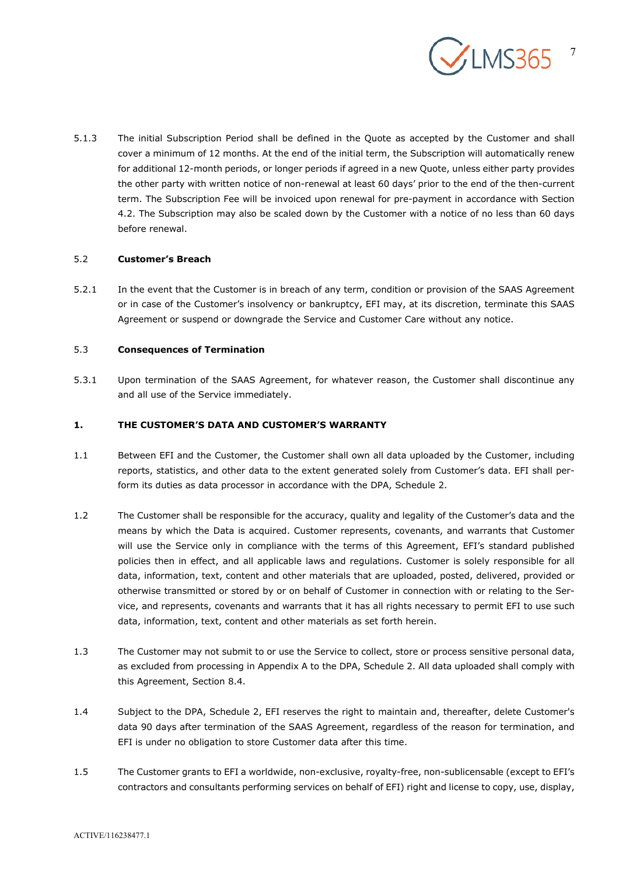

5.1.3 The initial Subscription Period shall be defined in the Quote as accepted by the Customer and shall cover a minimum of 12 months. At the end of the initial term, the Subscription will automatically renew for additional 12-month periods, or longer periods if agreed in a new Quote, unless either party provides the other party with written notice of non-renewal at least 60 days' prior to the end of the then-current term. The Subscription Fee will be invoiced upon renewal for pre-payment in accordance with Section 4.2. The Subscription may also be scaled down by the Customer with a notice of no less than 60 days before renewal.

## 5.2 **Customer's Breach**

5.2.1 In the event that the Customer is in breach of any term, condition or provision of the SAAS Agreement or in case of the Customer's insolvency or bankruptcy, EFI may, at its discretion, terminate this SAAS Agreement or suspend or downgrade the Service and Customer Care without any notice.

# 5.3 **Consequences of Termination**

5.3.1 Upon termination of the SAAS Agreement, for whatever reason, the Customer shall discontinue any and all use of the Service immediately.

## **1. THE CUSTOMER'S DATA AND CUSTOMER'S WARRANTY**

- 1.1 Between EFI and the Customer, the Customer shall own all data uploaded by the Customer, including reports, statistics, and other data to the extent generated solely from Customer's data. EFI shall perform its duties as data processor in accordance with the DPA, Schedule 2.
- 1.2 The Customer shall be responsible for the accuracy, quality and legality of the Customer's data and the means by which the Data is acquired. Customer represents, covenants, and warrants that Customer will use the Service only in compliance with the terms of this Agreement, EFI's standard published policies then in effect, and all applicable laws and regulations. Customer is solely responsible for all data, information, text, content and other materials that are uploaded, posted, delivered, provided or otherwise transmitted or stored by or on behalf of Customer in connection with or relating to the Service, and represents, covenants and warrants that it has all rights necessary to permit EFI to use such data, information, text, content and other materials as set forth herein.
- 1.3 The Customer may not submit to or use the Service to collect, store or process sensitive personal data, as excluded from processing in Appendix A to the DPA, Schedule 2. All data uploaded shall comply with this Agreement, Section 8.4.
- 1.4 Subject to the DPA, Schedule 2, EFI reserves the right to maintain and, thereafter, delete Customer's data 90 days after termination of the SAAS Agreement, regardless of the reason for termination, and EFI is under no obligation to store Customer data after this time.
- 1.5 The Customer grants to EFI a worldwide, non-exclusive, royalty-free, non-sublicensable (except to EFI's contractors and consultants performing services on behalf of EFI) right and license to copy, use, display,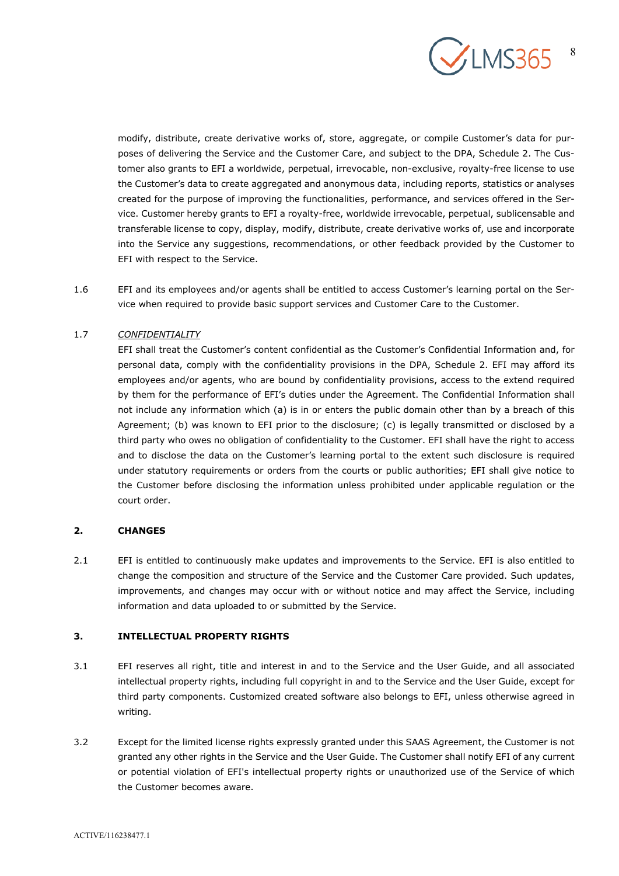

modify, distribute, create derivative works of, store, aggregate, or compile Customer's data for purposes of delivering the Service and the Customer Care, and subject to the DPA, Schedule 2. The Customer also grants to EFI a worldwide, perpetual, irrevocable, non-exclusive, royalty-free license to use the Customer's data to create aggregated and anonymous data, including reports, statistics or analyses created for the purpose of improving the functionalities, performance, and services offered in the Service. Customer hereby grants to EFI a royalty-free, worldwide irrevocable, perpetual, sublicensable and transferable license to copy, display, modify, distribute, create derivative works of, use and incorporate into the Service any suggestions, recommendations, or other feedback provided by the Customer to EFI with respect to the Service.

1.6 EFI and its employees and/or agents shall be entitled to access Customer's learning portal on the Service when required to provide basic support services and Customer Care to the Customer.

## 1.7 *CONFIDENTIALITY*

EFI shall treat the Customer's content confidential as the Customer's Confidential Information and, for personal data, comply with the confidentiality provisions in the DPA, Schedule 2. EFI may afford its employees and/or agents, who are bound by confidentiality provisions, access to the extend required by them for the performance of EFI's duties under the Agreement. The Confidential Information shall not include any information which (a) is in or enters the public domain other than by a breach of this Agreement; (b) was known to EFI prior to the disclosure; (c) is legally transmitted or disclosed by a third party who owes no obligation of confidentiality to the Customer. EFI shall have the right to access and to disclose the data on the Customer's learning portal to the extent such disclosure is required under statutory requirements or orders from the courts or public authorities; EFI shall give notice to the Customer before disclosing the information unless prohibited under applicable regulation or the court order.

## **2. CHANGES**

2.1 EFI is entitled to continuously make updates and improvements to the Service. EFI is also entitled to change the composition and structure of the Service and the Customer Care provided. Such updates, improvements, and changes may occur with or without notice and may affect the Service, including information and data uploaded to or submitted by the Service.

### **3. INTELLECTUAL PROPERTY RIGHTS**

- 3.1 EFI reserves all right, title and interest in and to the Service and the User Guide, and all associated intellectual property rights, including full copyright in and to the Service and the User Guide, except for third party components. Customized created software also belongs to EFI, unless otherwise agreed in writing.
- 3.2 Except for the limited license rights expressly granted under this SAAS Agreement, the Customer is not granted any other rights in the Service and the User Guide. The Customer shall notify EFI of any current or potential violation of EFI's intellectual property rights or unauthorized use of the Service of which the Customer becomes aware.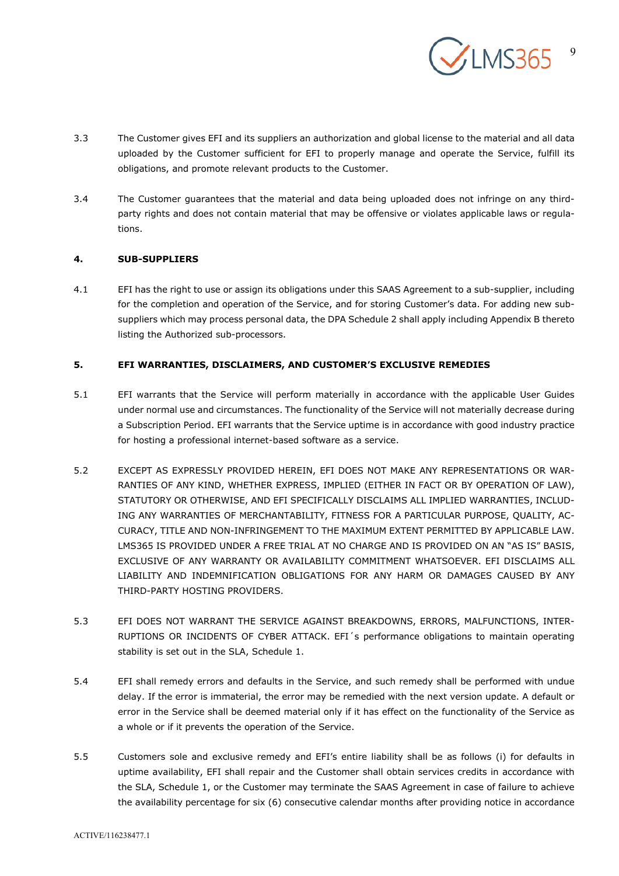

- 3.3 The Customer gives EFI and its suppliers an authorization and global license to the material and all data uploaded by the Customer sufficient for EFI to properly manage and operate the Service, fulfill its obligations, and promote relevant products to the Customer.
- 3.4 The Customer guarantees that the material and data being uploaded does not infringe on any thirdparty rights and does not contain material that may be offensive or violates applicable laws or regulations.

# **4. SUB-SUPPLIERS**

4.1 EFI has the right to use or assign its obligations under this SAAS Agreement to a sub-supplier, including for the completion and operation of the Service, and for storing Customer's data. For adding new subsuppliers which may process personal data, the DPA Schedule 2 shall apply including Appendix B thereto listing the Authorized sub-processors.

## **5. EFI WARRANTIES, DISCLAIMERS, AND CUSTOMER'S EXCLUSIVE REMEDIES**

- 5.1 EFI warrants that the Service will perform materially in accordance with the applicable User Guides under normal use and circumstances. The functionality of the Service will not materially decrease during a Subscription Period. EFI warrants that the Service uptime is in accordance with good industry practice for hosting a professional internet-based software as a service.
- 5.2 EXCEPT AS EXPRESSLY PROVIDED HEREIN, EFI DOES NOT MAKE ANY REPRESENTATIONS OR WAR-RANTIES OF ANY KIND, WHETHER EXPRESS, IMPLIED (EITHER IN FACT OR BY OPERATION OF LAW), STATUTORY OR OTHERWISE, AND EFI SPECIFICALLY DISCLAIMS ALL IMPLIED WARRANTIES, INCLUD-ING ANY WARRANTIES OF MERCHANTABILITY, FITNESS FOR A PARTICULAR PURPOSE, QUALITY, AC-CURACY, TITLE AND NON-INFRINGEMENT TO THE MAXIMUM EXTENT PERMITTED BY APPLICABLE LAW. LMS365 IS PROVIDED UNDER A FREE TRIAL AT NO CHARGE AND IS PROVIDED ON AN "AS IS" BASIS, EXCLUSIVE OF ANY WARRANTY OR AVAILABILITY COMMITMENT WHATSOEVER. EFI DISCLAIMS ALL LIABILITY AND INDEMNIFICATION OBLIGATIONS FOR ANY HARM OR DAMAGES CAUSED BY ANY THIRD-PARTY HOSTING PROVIDERS.
- 5.3 EFI DOES NOT WARRANT THE SERVICE AGAINST BREAKDOWNS, ERRORS, MALFUNCTIONS, INTER-RUPTIONS OR INCIDENTS OF CYBER ATTACK. EFI´s performance obligations to maintain operating stability is set out in the SLA, Schedule 1.
- 5.4 EFI shall remedy errors and defaults in the Service, and such remedy shall be performed with undue delay. If the error is immaterial, the error may be remedied with the next version update. A default or error in the Service shall be deemed material only if it has effect on the functionality of the Service as a whole or if it prevents the operation of the Service.
- 5.5 Customers sole and exclusive remedy and EFI's entire liability shall be as follows (i) for defaults in uptime availability, EFI shall repair and the Customer shall obtain services credits in accordance with the SLA, Schedule 1, or the Customer may terminate the SAAS Agreement in case of failure to achieve the availability percentage for six (6) consecutive calendar months after providing notice in accordance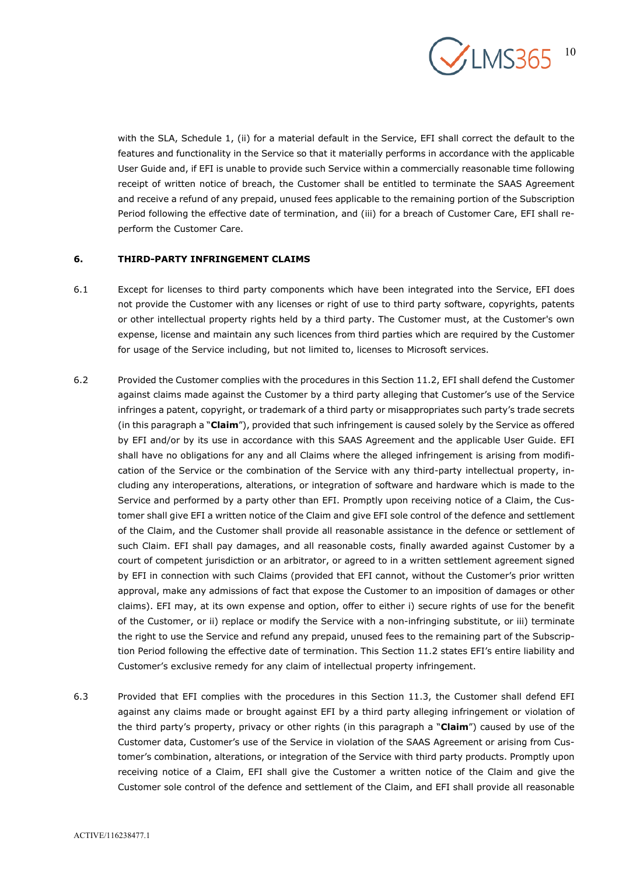

with the SLA, Schedule 1, (ii) for a material default in the Service, EFI shall correct the default to the features and functionality in the Service so that it materially performs in accordance with the applicable User Guide and, if EFI is unable to provide such Service within a commercially reasonable time following receipt of written notice of breach, the Customer shall be entitled to terminate the SAAS Agreement and receive a refund of any prepaid, unused fees applicable to the remaining portion of the Subscription Period following the effective date of termination, and (iii) for a breach of Customer Care, EFI shall reperform the Customer Care.

## **6. THIRD-PARTY INFRINGEMENT CLAIMS**

- 6.1 Except for licenses to third party components which have been integrated into the Service, EFI does not provide the Customer with any licenses or right of use to third party software, copyrights, patents or other intellectual property rights held by a third party. The Customer must, at the Customer's own expense, license and maintain any such licences from third parties which are required by the Customer for usage of the Service including, but not limited to, licenses to Microsoft services.
- 6.2 Provided the Customer complies with the procedures in this Section 11.2, EFI shall defend the Customer against claims made against the Customer by a third party alleging that Customer's use of the Service infringes a patent, copyright, or trademark of a third party or misappropriates such party's trade secrets (in this paragraph a "**Claim**"), provided that such infringement is caused solely by the Service as offered by EFI and/or by its use in accordance with this SAAS Agreement and the applicable User Guide. EFI shall have no obligations for any and all Claims where the alleged infringement is arising from modification of the Service or the combination of the Service with any third-party intellectual property, including any interoperations, alterations, or integration of software and hardware which is made to the Service and performed by a party other than EFI. Promptly upon receiving notice of a Claim, the Customer shall give EFI a written notice of the Claim and give EFI sole control of the defence and settlement of the Claim, and the Customer shall provide all reasonable assistance in the defence or settlement of such Claim. EFI shall pay damages, and all reasonable costs, finally awarded against Customer by a court of competent jurisdiction or an arbitrator, or agreed to in a written settlement agreement signed by EFI in connection with such Claims (provided that EFI cannot, without the Customer's prior written approval, make any admissions of fact that expose the Customer to an imposition of damages or other claims). EFI may, at its own expense and option, offer to either i) secure rights of use for the benefit of the Customer, or ii) replace or modify the Service with a non-infringing substitute, or iii) terminate the right to use the Service and refund any prepaid, unused fees to the remaining part of the Subscription Period following the effective date of termination. This Section 11.2 states EFI's entire liability and Customer's exclusive remedy for any claim of intellectual property infringement.
- 6.3 Provided that EFI complies with the procedures in this Section 11.3, the Customer shall defend EFI against any claims made or brought against EFI by a third party alleging infringement or violation of the third party's property, privacy or other rights (in this paragraph a "**Claim**") caused by use of the Customer data, Customer's use of the Service in violation of the SAAS Agreement or arising from Customer's combination, alterations, or integration of the Service with third party products. Promptly upon receiving notice of a Claim, EFI shall give the Customer a written notice of the Claim and give the Customer sole control of the defence and settlement of the Claim, and EFI shall provide all reasonable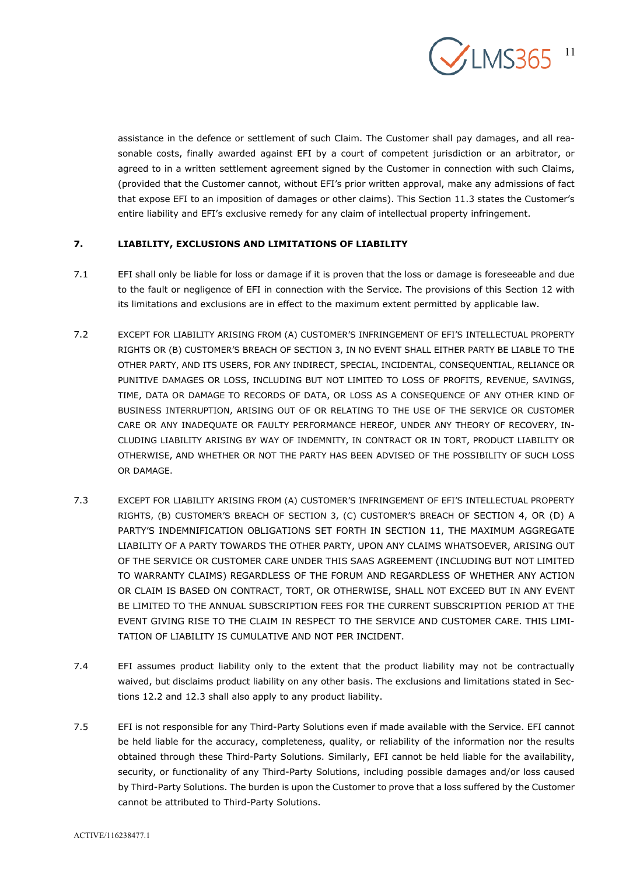

assistance in the defence or settlement of such Claim. The Customer shall pay damages, and all reasonable costs, finally awarded against EFI by a court of competent jurisdiction or an arbitrator, or agreed to in a written settlement agreement signed by the Customer in connection with such Claims, (provided that the Customer cannot, without EFI's prior written approval, make any admissions of fact that expose EFI to an imposition of damages or other claims). This Section 11.3 states the Customer's entire liability and EFI's exclusive remedy for any claim of intellectual property infringement.

# **7. LIABILITY, EXCLUSIONS AND LIMITATIONS OF LIABILITY**

- 7.1 EFI shall only be liable for loss or damage if it is proven that the loss or damage is foreseeable and due to the fault or negligence of EFI in connection with the Service. The provisions of this Section 12 with its limitations and exclusions are in effect to the maximum extent permitted by applicable law.
- 7.2 EXCEPT FOR LIABILITY ARISING FROM (A) CUSTOMER'S INFRINGEMENT OF EFI'S INTELLECTUAL PROPERTY RIGHTS OR (B) CUSTOMER'S BREACH OF SECTION 3, IN NO EVENT SHALL EITHER PARTY BE LIABLE TO THE OTHER PARTY, AND ITS USERS, FOR ANY INDIRECT, SPECIAL, INCIDENTAL, CONSEQUENTIAL, RELIANCE OR PUNITIVE DAMAGES OR LOSS, INCLUDING BUT NOT LIMITED TO LOSS OF PROFITS, REVENUE, SAVINGS, TIME, DATA OR DAMAGE TO RECORDS OF DATA, OR LOSS AS A CONSEQUENCE OF ANY OTHER KIND OF BUSINESS INTERRUPTION, ARISING OUT OF OR RELATING TO THE USE OF THE SERVICE OR CUSTOMER CARE OR ANY INADEQUATE OR FAULTY PERFORMANCE HEREOF, UNDER ANY THEORY OF RECOVERY, IN-CLUDING LIABILITY ARISING BY WAY OF INDEMNITY, IN CONTRACT OR IN TORT, PRODUCT LIABILITY OR OTHERWISE, AND WHETHER OR NOT THE PARTY HAS BEEN ADVISED OF THE POSSIBILITY OF SUCH LOSS OR DAMAGE.
- 7.3 EXCEPT FOR LIABILITY ARISING FROM (A) CUSTOMER'S INFRINGEMENT OF EFI'S INTELLECTUAL PROPERTY RIGHTS, (B) CUSTOMER'S BREACH OF SECTION 3, (C) CUSTOMER'S BREACH OF SECTION 4, OR (D) A PARTY'S INDEMNIFICATION OBLIGATIONS SET FORTH IN SECTION 11, THE MAXIMUM AGGREGATE LIABILITY OF A PARTY TOWARDS THE OTHER PARTY, UPON ANY CLAIMS WHATSOEVER, ARISING OUT OF THE SERVICE OR CUSTOMER CARE UNDER THIS SAAS AGREEMENT (INCLUDING BUT NOT LIMITED TO WARRANTY CLAIMS) REGARDLESS OF THE FORUM AND REGARDLESS OF WHETHER ANY ACTION OR CLAIM IS BASED ON CONTRACT, TORT, OR OTHERWISE, SHALL NOT EXCEED BUT IN ANY EVENT BE LIMITED TO THE ANNUAL SUBSCRIPTION FEES FOR THE CURRENT SUBSCRIPTION PERIOD AT THE EVENT GIVING RISE TO THE CLAIM IN RESPECT TO THE SERVICE AND CUSTOMER CARE. THIS LIMI-TATION OF LIABILITY IS CUMULATIVE AND NOT PER INCIDENT.
- 7.4 EFI assumes product liability only to the extent that the product liability may not be contractually waived, but disclaims product liability on any other basis. The exclusions and limitations stated in Sections 12.2 and 12.3 shall also apply to any product liability.
- 7.5 EFI is not responsible for any Third-Party Solutions even if made available with the Service. EFI cannot be held liable for the accuracy, completeness, quality, or reliability of the information nor the results obtained through these Third-Party Solutions. Similarly, EFI cannot be held liable for the availability, security, or functionality of any Third-Party Solutions, including possible damages and/or loss caused by Third-Party Solutions. The burden is upon the Customer to prove that a loss suffered by the Customer cannot be attributed to Third-Party Solutions.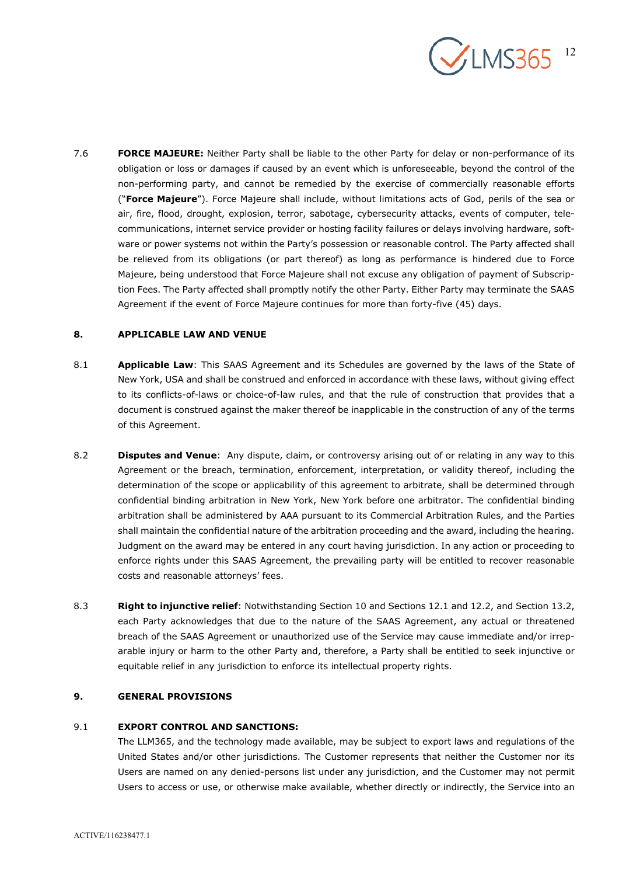

7.6 **FORCE MAJEURE:** Neither Party shall be liable to the other Party for delay or non-performance of its obligation or loss or damages if caused by an event which is unforeseeable, beyond the control of the non-performing party, and cannot be remedied by the exercise of commercially reasonable efforts ("**Force Majeure**"). Force Majeure shall include, without limitations acts of God, perils of the sea or air, fire, flood, drought, explosion, terror, sabotage, cybersecurity attacks, events of computer, telecommunications, internet service provider or hosting facility failures or delays involving hardware, software or power systems not within the Party's possession or reasonable control. The Party affected shall be relieved from its obligations (or part thereof) as long as performance is hindered due to Force Majeure, being understood that Force Majeure shall not excuse any obligation of payment of Subscription Fees. The Party affected shall promptly notify the other Party. Either Party may terminate the SAAS Agreement if the event of Force Majeure continues for more than forty-five (45) days.

## **8. APPLICABLE LAW AND VENUE**

- 8.1 **Applicable Law**: This SAAS Agreement and its Schedules are governed by the laws of the State of New York, USA and shall be construed and enforced in accordance with these laws, without giving effect to its conflicts-of-laws or choice-of-law rules, and that the rule of construction that provides that a document is construed against the maker thereof be inapplicable in the construction of any of the terms of this Agreement.
- 8.2 **Disputes and Venue**: Any dispute, claim, or controversy arising out of or relating in any way to this Agreement or the breach, termination, enforcement, interpretation, or validity thereof, including the determination of the scope or applicability of this agreement to arbitrate, shall be determined through confidential binding arbitration in New York, New York before one arbitrator. The confidential binding arbitration shall be administered by AAA pursuant to its Commercial Arbitration Rules, and the Parties shall maintain the confidential nature of the arbitration proceeding and the award, including the hearing. Judgment on the award may be entered in any court having jurisdiction. In any action or proceeding to enforce rights under this SAAS Agreement, the prevailing party will be entitled to recover reasonable costs and reasonable attorneys' fees.
- 8.3 **Right to injunctive relief**: Notwithstanding Section 10 and Sections 12.1 and 12.2, and Section 13.2, each Party acknowledges that due to the nature of the SAAS Agreement, any actual or threatened breach of the SAAS Agreement or unauthorized use of the Service may cause immediate and/or irreparable injury or harm to the other Party and, therefore, a Party shall be entitled to seek injunctive or equitable relief in any jurisdiction to enforce its intellectual property rights.

# **9. GENERAL PROVISIONS**

### 9.1 **EXPORT CONTROL AND SANCTIONS:**

The LLM365, and the technology made available, may be subject to export laws and regulations of the United States and/or other jurisdictions. The Customer represents that neither the Customer nor its Users are named on any denied-persons list under any jurisdiction, and the Customer may not permit Users to access or use, or otherwise make available, whether directly or indirectly, the Service into an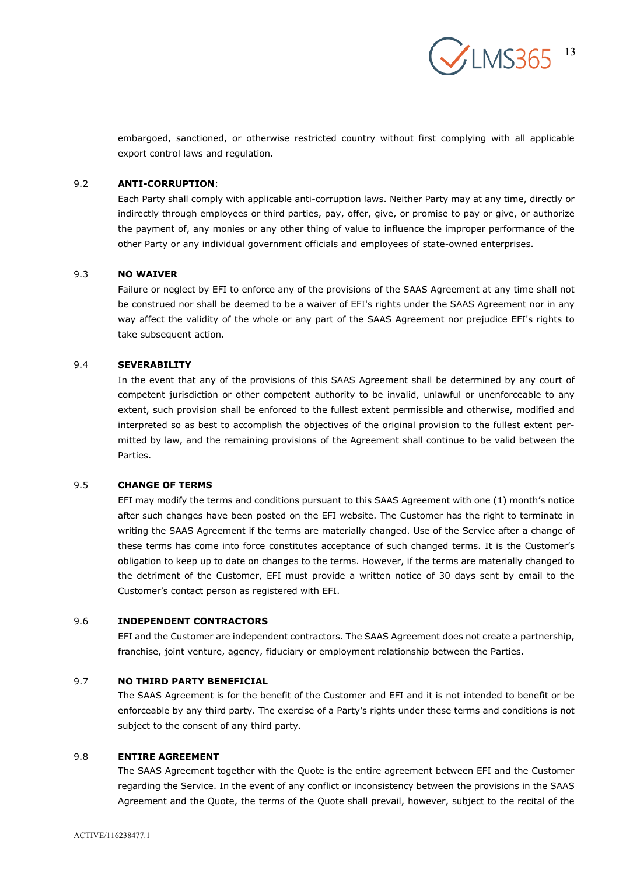$\checkmark$ LMS365 13

embargoed, sanctioned, or otherwise restricted country without first complying with all applicable export control laws and regulation.

#### 9.2 **ANTI-CORRUPTION**:

Each Party shall comply with applicable anti-corruption laws. Neither Party may at any time, directly or indirectly through employees or third parties, pay, offer, give, or promise to pay or give, or authorize the payment of, any monies or any other thing of value to influence the improper performance of the other Party or any individual government officials and employees of state-owned enterprises.

#### 9.3 **NO WAIVER**

Failure or neglect by EFI to enforce any of the provisions of the SAAS Agreement at any time shall not be construed nor shall be deemed to be a waiver of EFI's rights under the SAAS Agreement nor in any way affect the validity of the whole or any part of the SAAS Agreement nor prejudice EFI's rights to take subsequent action.

### 9.4 **SEVERABILITY**

In the event that any of the provisions of this SAAS Agreement shall be determined by any court of competent jurisdiction or other competent authority to be invalid, unlawful or unenforceable to any extent, such provision shall be enforced to the fullest extent permissible and otherwise, modified and interpreted so as best to accomplish the objectives of the original provision to the fullest extent permitted by law, and the remaining provisions of the Agreement shall continue to be valid between the Parties.

## 9.5 **CHANGE OF TERMS**

EFI may modify the terms and conditions pursuant to this SAAS Agreement with one (1) month's notice after such changes have been posted on the EFI website. The Customer has the right to terminate in writing the SAAS Agreement if the terms are materially changed. Use of the Service after a change of these terms has come into force constitutes acceptance of such changed terms. It is the Customer's obligation to keep up to date on changes to the terms. However, if the terms are materially changed to the detriment of the Customer, EFI must provide a written notice of 30 days sent by email to the Customer's contact person as registered with EFI.

### 9.6 **INDEPENDENT CONTRACTORS**

EFI and the Customer are independent contractors. The SAAS Agreement does not create a partnership, franchise, joint venture, agency, fiduciary or employment relationship between the Parties.

### 9.7 **NO THIRD PARTY BENEFICIAL**

The SAAS Agreement is for the benefit of the Customer and EFI and it is not intended to benefit or be enforceable by any third party. The exercise of a Party's rights under these terms and conditions is not subject to the consent of any third party.

## 9.8 **ENTIRE AGREEMENT**

The SAAS Agreement together with the Quote is the entire agreement between EFI and the Customer regarding the Service. In the event of any conflict or inconsistency between the provisions in the SAAS Agreement and the Quote, the terms of the Quote shall prevail, however, subject to the recital of the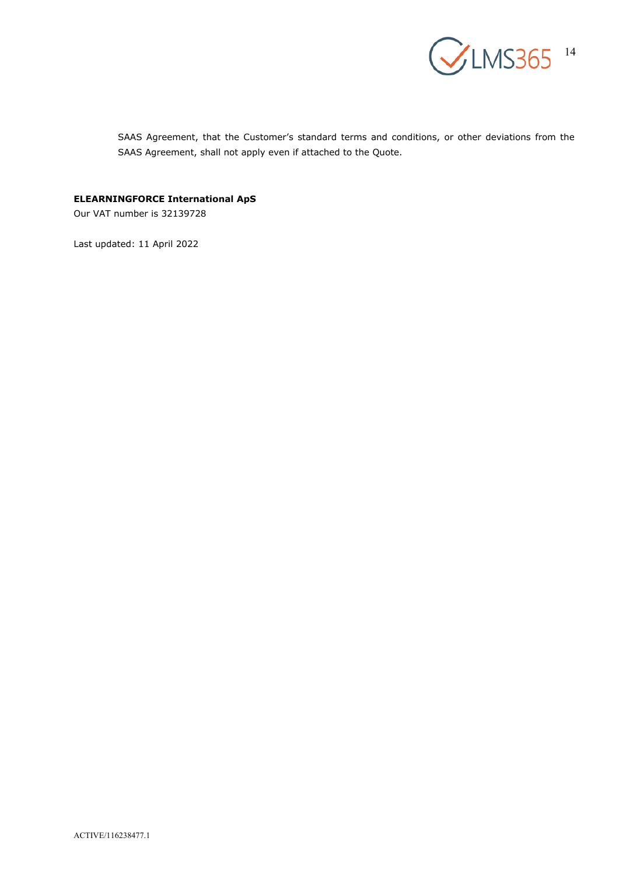![](_page_13_Picture_0.jpeg)

SAAS Agreement, that the Customer's standard terms and conditions, or other deviations from the SAAS Agreement, shall not apply even if attached to the Quote.

# **ELEARNINGFORCE International ApS**

Our VAT number is 32139728

Last updated: 11 April 2022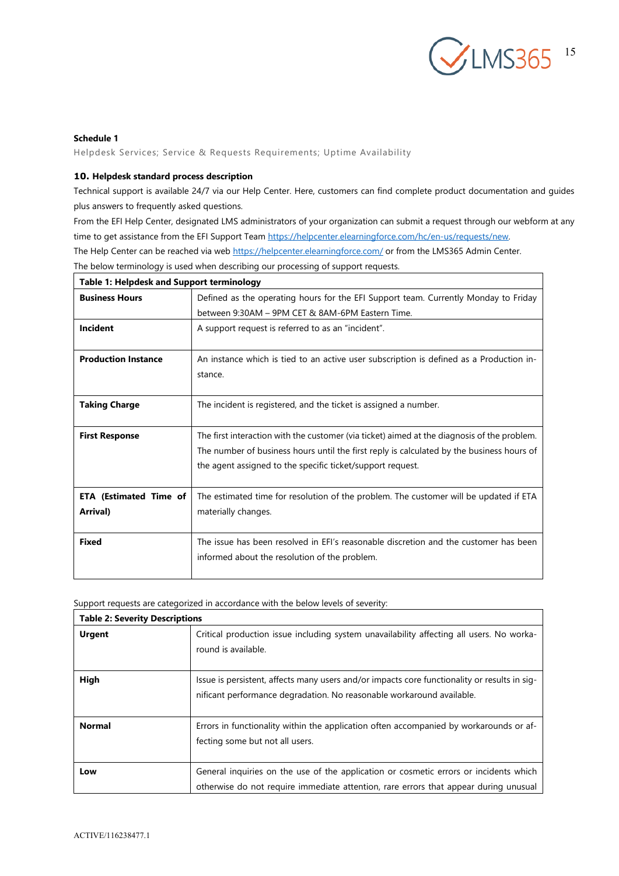![](_page_14_Picture_0.jpeg)

### **Schedule 1**

Helpdesk Services; Service & Requests Requirements; Uptime Availability

### **10. Helpdesk standard process description**

Technical support is available 24/7 via our Help Center. Here, customers can find complete product documentation and guides plus answers to frequently asked questions.

From the EFI Help Center, designated LMS administrators of your organization can submit a request through our webform at any time to get assistance from the EFI Support Team [https://helpcenter.elearningforce.com/hc/en-us/requests/new.](https://helpcenter.elearningforce.com/hc/en-us/requests/new)

The Help Center can be reached via web<https://helpcenter.elearningforce.com/> or from the LMS365 Admin Center.

The below terminology is used when describing our processing of support requests. **Table 1: Helpdesk and Support terminology Business Hours Defined as the operating hours for the EFI Support team. Currently Monday to Friday** between 9:30AM – 9PM CET & 8AM-6PM Eastern Time. **Incident** A support request is referred to as an "incident". **Production Instance** An instance which is tied to an active user subscription is defined as a Production instance. **Taking Charge** The incident is registered, and the ticket is assigned a number. **First Response** The first interaction with the customer (via ticket) aimed at the diagnosis of the problem. The number of business hours until the first reply is calculated by the business hours of the agent assigned to the specific ticket/support request. **ETA (Estimated Time of** | The estimated time for resolution of the problem. The customer will be updated if ETA

| Arrival)     | materially changes.                                                                                                                   |
|--------------|---------------------------------------------------------------------------------------------------------------------------------------|
| <b>Fixed</b> | The issue has been resolved in EFI's reasonable discretion and the customer has been<br>informed about the resolution of the problem. |

Support requests are categorized in accordance with the below levels of severity:

| <b>Table 2: Severity Descriptions</b> |                                                                                                                                                                               |  |  |
|---------------------------------------|-------------------------------------------------------------------------------------------------------------------------------------------------------------------------------|--|--|
| <b>Urgent</b>                         | Critical production issue including system unavailability affecting all users. No worka-<br>round is available.                                                               |  |  |
| High                                  | Issue is persistent, affects many users and/or impacts core functionality or results in sig-<br>nificant performance degradation. No reasonable workaround available.         |  |  |
| <b>Normal</b>                         | Errors in functionality within the application often accompanied by workarounds or af-<br>fecting some but not all users.                                                     |  |  |
| Low                                   | General inquiries on the use of the application or cosmetic errors or incidents which<br>otherwise do not require immediate attention, rare errors that appear during unusual |  |  |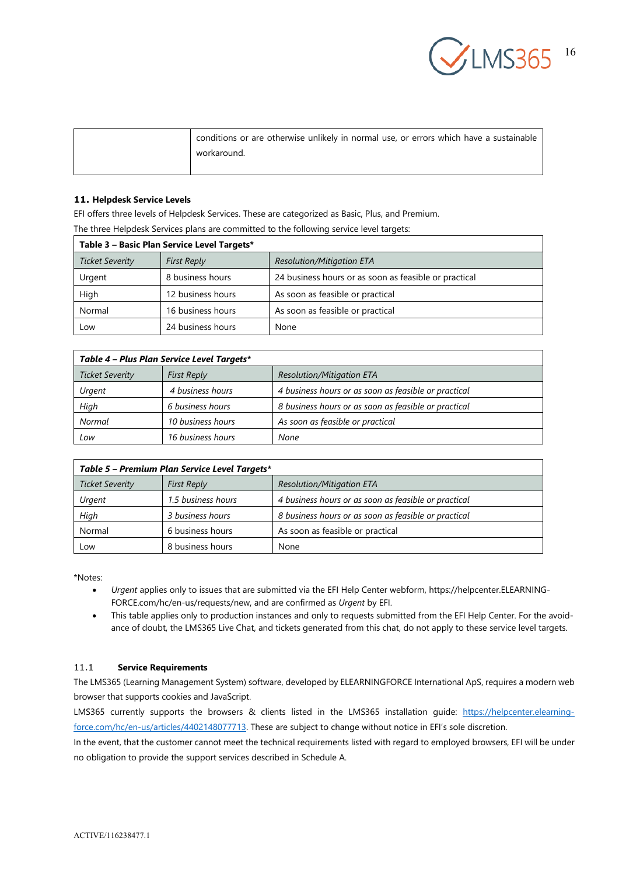![](_page_15_Picture_0.jpeg)

| conditions or are otherwise unlikely in normal use, or errors which have a sustainable |
|----------------------------------------------------------------------------------------|
| workaround.                                                                            |

## **11. Helpdesk Service Levels**

EFI offers three levels of Helpdesk Services. These are categorized as Basic, Plus, and Premium.

The three Helpdesk Services plans are committed to the following service level targets:

| Table 3 - Basic Plan Service Level Targets* |                    |                                                       |  |  |
|---------------------------------------------|--------------------|-------------------------------------------------------|--|--|
| <b>Ticket Severity</b>                      | <b>First Reply</b> | <b>Resolution/Mitigation ETA</b>                      |  |  |
| Urgent                                      | 8 business hours   | 24 business hours or as soon as feasible or practical |  |  |
| High                                        | 12 business hours  | As soon as feasible or practical                      |  |  |
| Normal                                      | 16 business hours  | As soon as feasible or practical                      |  |  |
| Low                                         | 24 business hours  | None                                                  |  |  |

| Table 4 – Plus Plan Service Level Targets* |                    |                                                      |  |  |
|--------------------------------------------|--------------------|------------------------------------------------------|--|--|
| <b>Ticket Severity</b>                     | <b>First Reply</b> | <b>Resolution/Mitigation ETA</b>                     |  |  |
| Urgent                                     | 4 business hours   | 4 business hours or as soon as feasible or practical |  |  |
| High                                       | 6 business hours   | 8 business hours or as soon as feasible or practical |  |  |
| Normal                                     | 10 business hours  | As soon as feasible or practical                     |  |  |
| Low                                        | 16 business hours  | None                                                 |  |  |

| Table 5 – Premium Plan Service Level Targets* |                    |                                                      |  |  |
|-----------------------------------------------|--------------------|------------------------------------------------------|--|--|
| <b>Ticket Severity</b>                        | <b>First Reply</b> | <b>Resolution/Mitigation ETA</b>                     |  |  |
| Urgent                                        | 1.5 business hours | 4 business hours or as soon as feasible or practical |  |  |
| High                                          | 3 business hours   | 8 business hours or as soon as feasible or practical |  |  |
| Normal                                        | 6 business hours   | As soon as feasible or practical                     |  |  |
| Low                                           | 8 business hours   | None                                                 |  |  |

\*Notes:

- *Urgent* applies only to issues that are submitted via the EFI Help Center webform, https://helpcenter.ELEARNING-FORCE.com/hc/en-us/requests/new, and are confirmed as *Urgent* by EFI.
- This table applies only to production instances and only to requests submitted from the EFI Help Center. For the avoidance of doubt, the LMS365 Live Chat, and tickets generated from this chat, do not apply to these service level targets.

### 11.1 **Service Requirements**

The LMS365 (Learning Management System) software, developed by ELEARNINGFORCE International ApS, requires a modern web browser that supports cookies and JavaScript.

LMS365 currently supports the browsers & clients listed in the LMS365 installation guide: [https://helpcenter.elearning](https://helpcenter.elearningforce.com/hc/en-us/articles/4402148077713)[force.com/hc/en-us/articles/4402148077713.](https://helpcenter.elearningforce.com/hc/en-us/articles/4402148077713) These are subject to change without notice in EFI's sole discretion.

In the event, that the customer cannot meet the technical requirements listed with regard to employed browsers, EFI will be under no obligation to provide the support services described in Schedule A.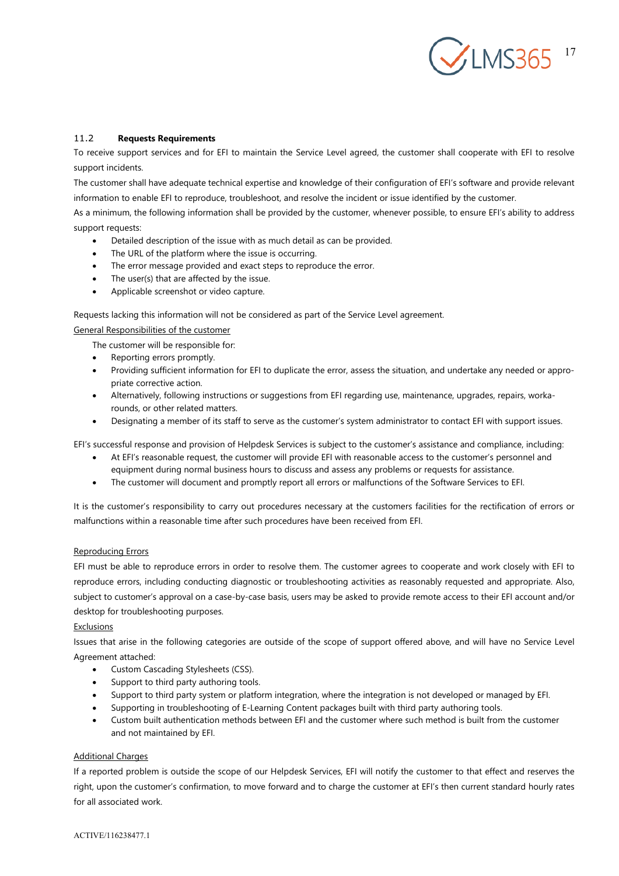![](_page_16_Picture_0.jpeg)

### 11.2 **Requests Requirements**

To receive support services and for EFI to maintain the Service Level agreed, the customer shall cooperate with EFI to resolve support incidents.

The customer shall have adequate technical expertise and knowledge of their configuration of EFI's software and provide relevant information to enable EFI to reproduce, troubleshoot, and resolve the incident or issue identified by the customer.

As a minimum, the following information shall be provided by the customer, whenever possible, to ensure EFI's ability to address support requests:

- Detailed description of the issue with as much detail as can be provided.
- The URL of the platform where the issue is occurring.
- The error message provided and exact steps to reproduce the error.
- The user(s) that are affected by the issue.
- Applicable screenshot or video capture.

Requests lacking this information will not be considered as part of the Service Level agreement.

#### General Responsibilities of the customer

The customer will be responsible for:

- Reporting errors promptly.
- Providing sufficient information for EFI to duplicate the error, assess the situation, and undertake any needed or appropriate corrective action.
- Alternatively, following instructions or suggestions from EFI regarding use, maintenance, upgrades, repairs, workarounds, or other related matters.
- Designating a member of its staff to serve as the customer's system administrator to contact EFI with support issues.

EFI's successful response and provision of Helpdesk Services is subject to the customer's assistance and compliance, including:

- At EFI's reasonable request, the customer will provide EFI with reasonable access to the customer's personnel and equipment during normal business hours to discuss and assess any problems or requests for assistance.
- The customer will document and promptly report all errors or malfunctions of the Software Services to EFI.

It is the customer's responsibility to carry out procedures necessary at the customers facilities for the rectification of errors or malfunctions within a reasonable time after such procedures have been received from EFI.

#### Reproducing Errors

EFI must be able to reproduce errors in order to resolve them. The customer agrees to cooperate and work closely with EFI to reproduce errors, including conducting diagnostic or troubleshooting activities as reasonably requested and appropriate. Also, subject to customer's approval on a case-by-case basis, users may be asked to provide remote access to their EFI account and/or desktop for troubleshooting purposes.

#### **Exclusions**

Issues that arise in the following categories are outside of the scope of support offered above, and will have no Service Level Agreement attached:

- Custom Cascading Stylesheets (CSS).
- Support to third party authoring tools.
- Support to third party system or platform integration, where the integration is not developed or managed by EFI.
- Supporting in troubleshooting of E-Learning Content packages built with third party authoring tools.
- Custom built authentication methods between EFI and the customer where such method is built from the customer and not maintained by EFI.

#### Additional Charges

If a reported problem is outside the scope of our Helpdesk Services, EFI will notify the customer to that effect and reserves the right, upon the customer's confirmation, to move forward and to charge the customer at EFI's then current standard hourly rates for all associated work.